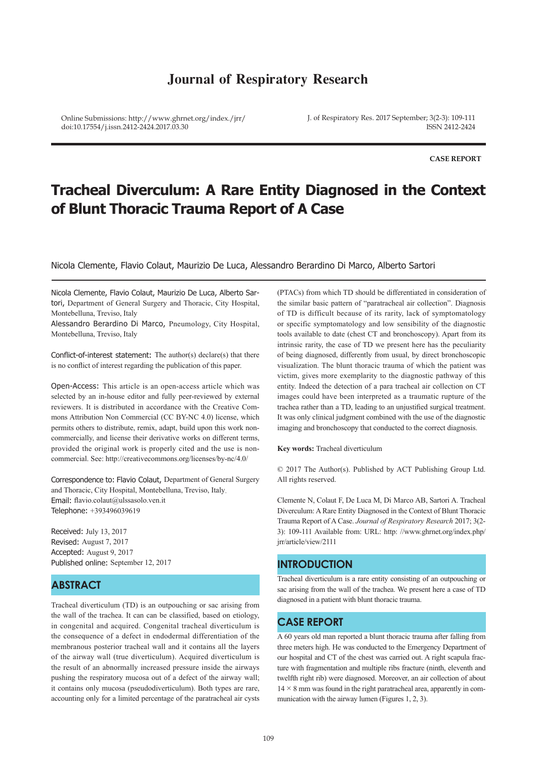## **Journal of Respiratory Research**

Online Submissions: http://www.ghrnet.org/index./jrr/ doi:10.17554/j.issn.2412-2424.2017.03.30

J. of Respiratory Res. 2017 September; 3(2-3): 109-111 ISSN 2412-2424

**CASE REPORT**

# **Tracheal Diverculum: A Rare Entity Diagnosed in the Context of Blunt Thoracic Trauma Report of A Case**

Nicola Clemente, Flavio Colaut, Maurizio De Luca, Alessandro Berardino Di Marco, Alberto Sartori

Nicola Clemente, Flavio Colaut, Maurizio De Luca, Alberto Sartori, Department of General Surgery and Thoracic, City Hospital, Montebelluna, Treviso, Italy

Alessandro Berardino Di Marco, Pneumology, City Hospital, Montebelluna, Treviso, Italy

Conflict-of-interest statement: The author(s) declare(s) that there is no conflict of interest regarding the publication of this paper.

Open-Access: This article is an open-access article which was selected by an in-house editor and fully peer-reviewed by external reviewers. It is distributed in accordance with the Creative Commons Attribution Non Commercial (CC BY-NC 4.0) license, which permits others to distribute, remix, adapt, build upon this work noncommercially, and license their derivative works on different terms, provided the original work is properly cited and the use is noncommercial. See: http://creativecommons.org/licenses/by-nc/4.0/

Correspondence to: Flavio Colaut, Department of General Surgery and Thoracic, City Hospital, Montebelluna, Treviso, Italy. Email: flavio.colaut@ulssasolo.ven.it Telephone: +393496039619

Received: July 13, 2017 Revised: August 7, 2017 Accepted: August 9, 2017 Published online: September 12, 2017

## **ABSTRACT**

Tracheal diverticulum (TD) is an outpouching or sac arising from the wall of the trachea. It can can be classified, based on etiology, in congenital and acquired. Congenital tracheal diverticulum is the consequence of a defect in endodermal differentiation of the membranous posterior tracheal wall and it contains all the layers of the airway wall (true diverticulum). Acquired diverticulum is the result of an abnormally increased pressure inside the airways pushing the respiratory mucosa out of a defect of the airway wall; it contains only mucosa (pseudodiverticulum). Both types are rare, accounting only for a limited percentage of the paratracheal air cysts

(PTACs) from which TD should be differentiated in consideration of the similar basic pattern of "paratracheal air collection". Diagnosis of TD is difficult because of its rarity, lack of symptomatology or specific symptomatology and low sensibility of the diagnostic tools available to date (chest CT and bronchoscopy). Apart from its intrinsic rarity, the case of TD we present here has the peculiarity of being diagnosed, differently from usual, by direct bronchoscopic visualization. The blunt thoracic trauma of which the patient was victim, gives more exemplarity to the diagnostic pathway of this entity. Indeed the detection of a para tracheal air collection on CT images could have been interpreted as a traumatic rupture of the trachea rather than a TD, leading to an unjustified surgical treatment. It was only clinical judgment combined with the use of the diagnostic imaging and bronchoscopy that conducted to the correct diagnosis.

**Key words:** Tracheal diverticulum

© 2017 The Author(s). Published by ACT Publishing Group Ltd. All rights reserved.

Clemente N, Colaut F, De Luca M, Di Marco AB, Sartori A. Tracheal Diverculum: A Rare Entity Diagnosed in the Context of Blunt Thoracic Trauma Report of A Case. *Journal of Respiratory Research* 2017; 3(2- 3): 109-111 Available from: URL: http: //www.ghrnet.org/index.php/ jrr/article/view/2111

## **INTRODUCTION**

Tracheal diverticulum is a rare entity consisting of an outpouching or sac arising from the wall of the trachea. We present here a case of TD diagnosed in a patient with blunt thoracic trauma.

## **CASE REPORT**

A 60 years old man reported a blunt thoracic trauma after falling from three meters high. He was conducted to the Emergency Department of our hospital and CT of the chest was carried out. A right scapula fracture with fragmentation and multiple ribs fracture (ninth, eleventh and twelfth right rib) were diagnosed. Moreover, an air collection of about  $14 \times 8$  mm was found in the right paratracheal area, apparently in communication with the airway lumen (Figures 1, 2, 3).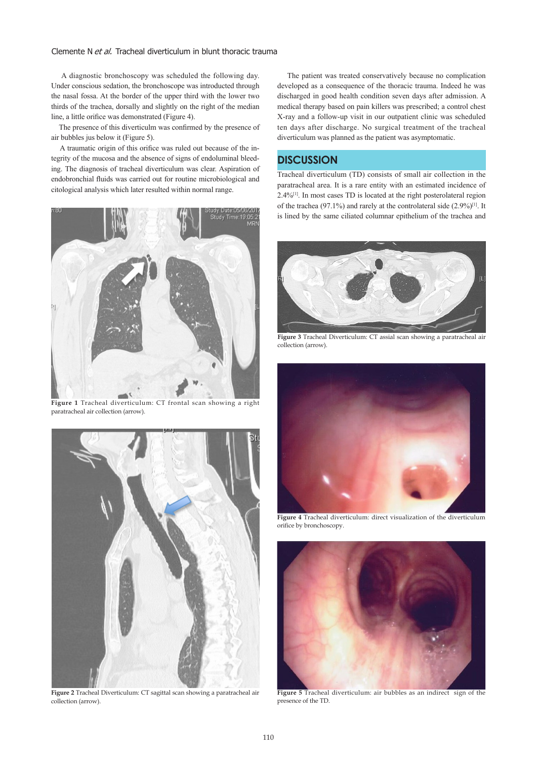#### Clemente N et al. Tracheal diverticulum in blunt thoracic trauma

 A diagnostic bronchoscopy was scheduled the following day. Under conscious sedation, the bronchoscope was introducted through the nasal fossa. At the border of the upper third with the lower two thirds of the trachea, dorsally and slightly on the right of the median line, a little orifice was demonstrated (Figure 4).

 The presence of this diverticulm was confirmed by the presence of air bubbles jus below it (Figure 5).

 A traumatic origin of this orifice was ruled out because of the integrity of the mucosa and the absence of signs of endoluminal bleeding. The diagnosis of tracheal diverticulum was clear. Aspiration of endobronchial fluids was carried out for routine microbiological and citological analysis which later resulted within normal range.



**Figure 1** Tracheal diverticulum: CT frontal scan showing a right paratracheal air collection (arrow).



**Figure 2** Tracheal Diverticulum: CT sagittal scan showing a paratracheal air collection (arrow).

 The patient was treated conservatively because no complication developed as a consequence of the thoracic trauma. Indeed he was discharged in good health condition seven days after admission. A medical therapy based on pain killers was prescribed; a control chest X-ray and a follow-up visit in our outpatient clinic was scheduled ten days after discharge. No surgical treatment of the tracheal diverticulum was planned as the patient was asymptomatic.

## **DISCUSSION**

Tracheal diverticulum (TD) consists of small air collection in the paratracheal area. It is a rare entity with an estimated incidence of 2.4%[1]. In most cases TD is located at the right posterolateral region of the trachea (97.1%) and rarely at the controlateral side  $(2.9\%)$ <sup>[1]</sup>. It is lined by the same ciliated columnar epithelium of the trachea and



**Figure 3** Tracheal Diverticulum: CT assial scan showing a paratracheal air collection (arrow).



**Figure 4** Tracheal diverticulum: direct visualization of the diverticulum orifice by bronchoscopy.



**Figure 5** Tracheal diverticulum: air bubbles as an indirect sign of the presence of the TD.